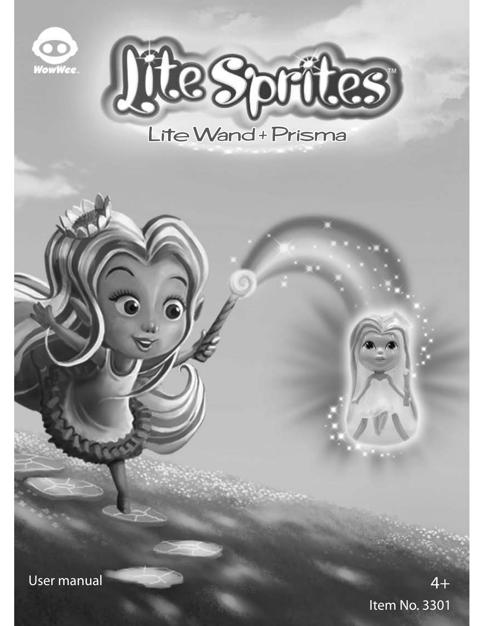



User manual

Item No. 3301 4+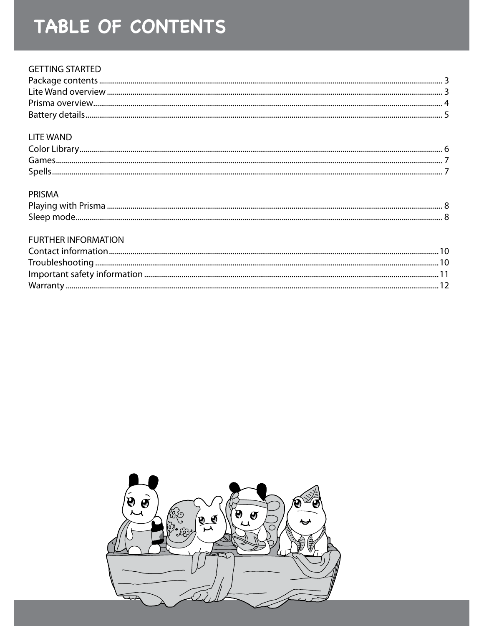# TABLE OF CONTENTS

#### **GETTING STARTED**

#### **LITE WAND**

| <b>Color Library</b> |  |
|----------------------|--|
| Games                |  |
| <b>Snell</b>         |  |

#### PRISMA

| Sleep mode. |  |
|-------------|--|

#### **FURTHER INFORMATION**

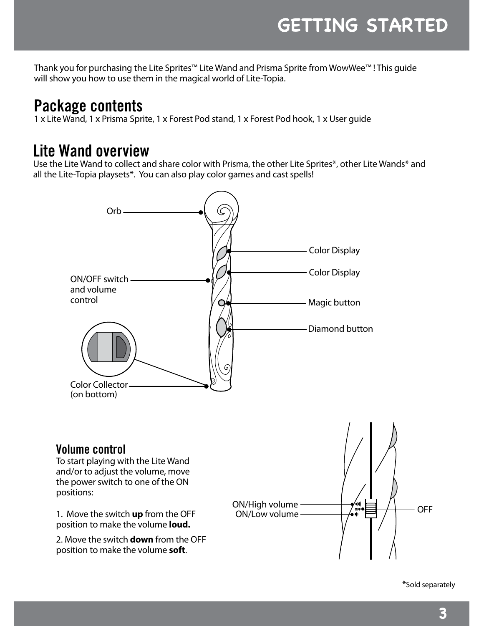Thank you for purchasing the Lite Sprites™ Lite Wand and Prisma Sprite from WowWee™ ! This guide will show you how to use them in the magical world of Lite-Topia.

## **Package contents**

1 x Lite Wand, 1 x Prisma Sprite, 1 x Forest Pod stand, 1 x Forest Pod hook, 1 x User guide

## **Lite Wand overview**

Use the Lite Wand to collect and share color with Prisma, the other Lite Sprites\*, other Lite Wands\* and all the Lite-Topia playsets\*. You can also play color games and cast spells!



#### **Volume control**

To start playing with the Lite Wand and/or to adjust the volume, move the power switch to one of the ON positions:

1. Move the switch **up** from the OFF position to make the volume **loud.**

2. Move the switch **down** from the OFF position to make the volume **soft**.



\*Sold separately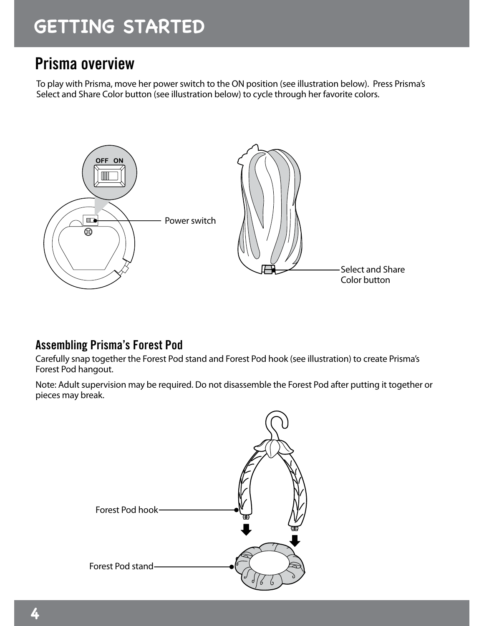# **getting started**

## **Prisma overview**

To play with Prisma, move her power switch to the ON position (see illustration below). Press Prisma's Select and Share Color button (see illustration below) to cycle through her favorite colors.



#### **Assembling Prisma's Forest Pod**

Carefully snap together the Forest Pod stand and Forest Pod hook (see illustration) to create Prisma's Forest Pod hangout.

Note: Adult supervision may be required. Do not disassemble the Forest Pod after putting it together or pieces may break.

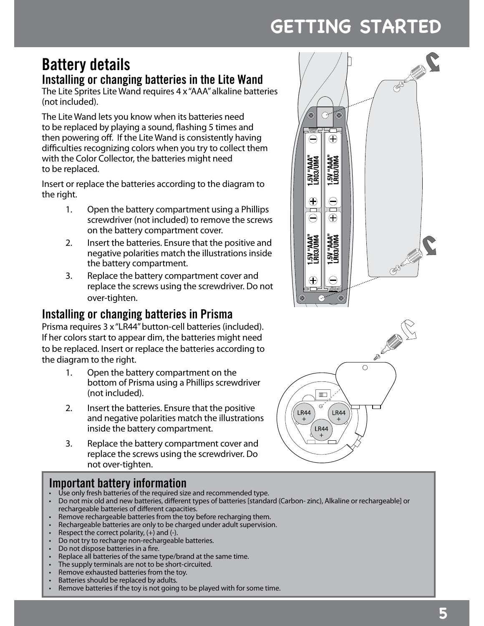# **getting started**

## **Battery details**

#### **Installing or changing batteries in the Lite Wand**

The Lite Sprites Lite Wand requires 4 x "AAA" alkaline batteries (not included).

The Lite Wand lets you know when its batteries need to be replaced by playing a sound, flashing 5 times and then powering off. If the Lite Wand is consistently having difficulties recognizing colors when you try to collect them with the Color Collector, the batteries might need to be replaced.

Insert or replace the batteries according to the diagram to the right.

- 1. Open the battery compartment using a Phillips screwdriver (not included) to remove the screws on the battery compartment cover.
- 2. Insert the batteries. Ensure that the positive and negative polarities match the illustrations inside the battery compartment.
- 3. Replace the battery compartment cover and replace the screws using the screwdriver. Do not over-tighten.

## **Installing or changing batteries in Prisma**

Prisma requires 3 x "LR44" button-cell batteries (included). If her colors start to appear dim, the batteries might need to be replaced. Insert or replace the batteries according to the diagram to the right.

- 1. Open the battery compartment on the bottom of Prisma using a Phillips screwdriver (not included).
- 2. Insert the batteries. Ensure that the positive and negative polarities match the illustrations inside the battery compartment.
- 3. Replace the battery compartment cover and replace the screws using the screwdriver. Do not over-tighten.

#### **Important battery information**

- Use only fresh batteries of the required size and recommended type.
- • Do not mix old and new batteries, different types of batteries [standard (Carbon- zinc), Alkaline or rechargeable] or rechargeable batteries of different capacities.
- Remove rechargeable batteries from the toy before recharging them.
- • Rechargeable batteries are only to be charged under adult supervision.
- Respect the correct polarity,  $(+)$  and  $(-)$ .
- Do not try to recharge non-rechargeable batteries.
- Do not dispose batteries in a fire.
- • Replace all batteries of the same type/brand at the same time.
- • The supply terminals are not to be short-circuited.
- • Remove exhausted batteries from the toy.
- Batteries should be replaced by adults.
- • Remove batteries if the toy is not going to be played with for some time.



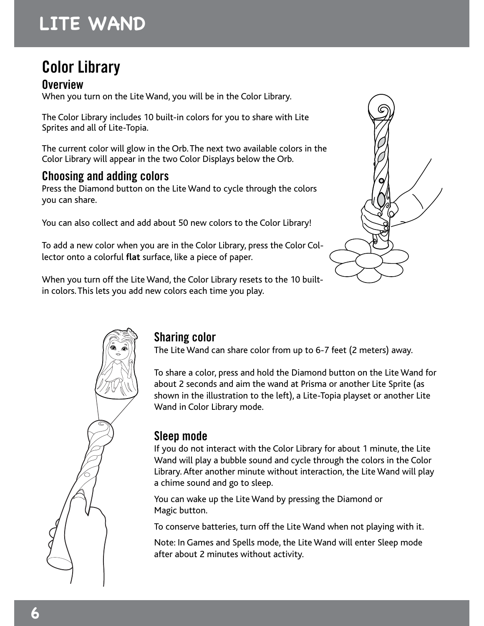# **lite wand**

## **Color Library**

**Overview** When you turn on the Lite Wand, you will be in the Color Library.

The Color Library includes 10 built-in colors for you to share with Lite Sprites and all of Lite-Topia.

The current color will glow in the Orb. The next two available colors in the Color Library will appear in the two Color Displays below the Orb.

### **Choosing and adding colors**

Press the Diamond button on the Lite Wand to cycle through the colors you can share.

You can also collect and add about 50 new colors to the Color Library!

To add a new color when you are in the Color Library, press the Color Collector onto a colorful **flat** surface, like a piece of paper.

When you turn off the Lite Wand, the Color Library resets to the 10 builtin colors. This lets you add new colors each time you play.





## **Sharing color**

The Lite Wand can share color from up to 6-7 feet (2 meters) away.

To share a color, press and hold the Diamond button on the Lite Wand for about 2 seconds and aim the wand at Prisma or another Lite Sprite (as shown in the illustration to the left), a Lite-Topia playset or another Lite Wand in Color Library mode.

#### **Sleep mode**

If you do not interact with the Color Library for about 1 minute, the Lite Wand will play a bubble sound and cycle through the colors in the Color Library. After another minute without interaction, the Lite Wand will play a chime sound and go to sleep.

You can wake up the Lite Wand by pressing the Diamond or Magic button.

To conserve batteries, turn off the Lite Wand when not playing with it.

Note: In Games and Spells mode, the Lite Wand will enter Sleep mode after about 2 minutes without activity.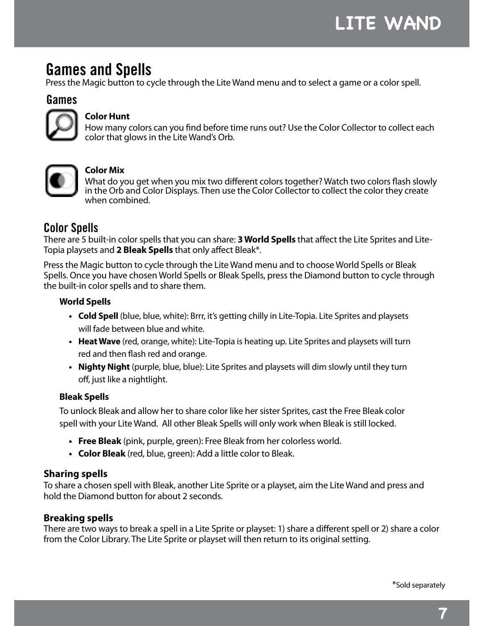## **Games and Spells**

Press the Magic button to cycle through the Lite Wand menu and to select a game or a color spell.

#### **Games**



#### **Color Hunt**

How many colors can you find before time runs out? Use the Color Collector to collect each color that glows in the Lite Wand's Orb.



#### **Color Mix**

What do you get when you mix two different colors together? Watch two colors flash slowly in the Orb and Color Displays. Then use the Color Collector to collect the color they create when combined.

#### **Color Spells**

There are 5 built-in color spells that you can share: **3 World Spells** that affect the Lite Sprites and Lite-Topia playsets and **2 Bleak Spells** that only affect Bleak\*.

Press the Magic button to cycle through the Lite Wand menu and to choose World Spells or Bleak Spells. Once you have chosen World Spells or Bleak Spells, press the Diamond button to cycle through the built-in color spells and to share them.

#### **World Spells**

- **• Cold Spell** (blue, blue, white): Brrr, it's getting chilly in Lite-Topia. Lite Sprites and playsets will fade between blue and white.
- **• Heat Wave** (red, orange, white): Lite-Topia is heating up. Lite Sprites and playsets will turn red and then flash red and orange.
- **• Nighty Night** (purple, blue, blue): Lite Sprites and playsets will dim slowly until they turn off, just like a nightlight.

#### **Bleak Spells**

To unlock Bleak and allow her to share color like her sister Sprites, cast the Free Bleak color spell with your Lite Wand. All other Bleak Spells will only work when Bleak is still locked.

- **• Free Bleak** (pink, purple, green): Free Bleak from her colorless world.
- **• Color Bleak** (red, blue, green): Add a little color to Bleak.

#### **Sharing spells**

To share a chosen spell with Bleak, another Lite Sprite or a playset, aim the Lite Wand and press and hold the Diamond button for about 2 seconds.

#### **Breaking spells**

There are two ways to break a spell in a Lite Sprite or playset: 1) share a different spell or 2) share a color from the Color Library. The Lite Sprite or playset will then return to its original setting.

\*Sold separately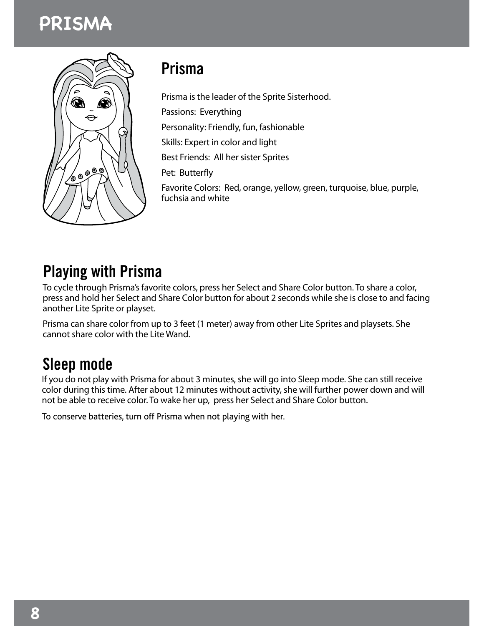



## **Prisma**

Prisma is the leader of the Sprite Sisterhood. Passions: Everything Personality: Friendly, fun, fashionable Skills: Expert in color and light Best Friends: All her sister Sprites Pet: Butterfly Favorite Colors: Red, orange, yellow, green, turquoise, blue, purple, fuchsia and white

## **Playing with Prisma**

To cycle through Prisma's favorite colors, press her Select and Share Color button. To share a color, press and hold her Select and Share Color button for about 2 seconds while she is close to and facing another Lite Sprite or playset.

Prisma can share color from up to 3 feet (1 meter) away from other Lite Sprites and playsets. She cannot share color with the Lite Wand.

## **Sleep mode**

If you do not play with Prisma for about 3 minutes, she will go into Sleep mode. She can still receive color during this time. After about 12 minutes without activity, she will further power down and will not be able to receive color. To wake her up, press her Select and Share Color button.

To conserve batteries, turn off Prisma when not playing with her.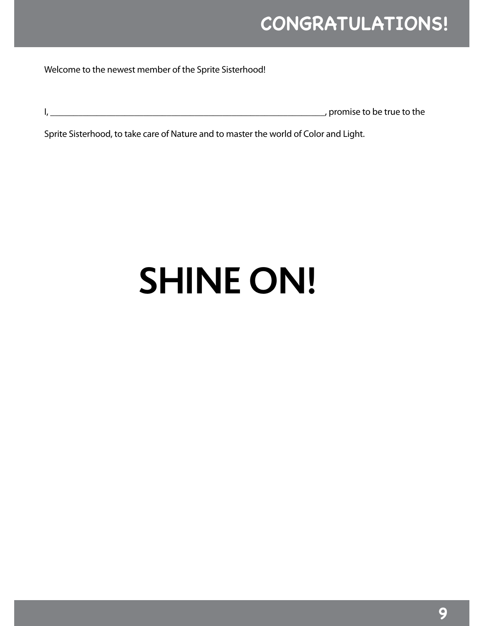Welcome to the newest member of the Sprite Sisterhood!

| , promise to be true to the |
|-----------------------------|
|                             |

Sprite Sisterhood, to take care of Nature and to master the world of Color and Light.

# **cONGRATULATIONS!**<br>
est member of the Sprite Sisterhood!<br>
promise to be true to the<br>
take care of Nature and to master the world of Color and Light.<br> **SHINE ON! SHINE ON!**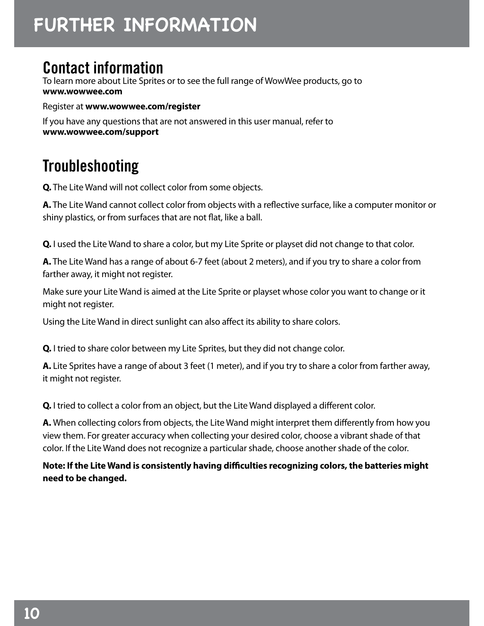## **Contact information**

To learn more about Lite Sprites or to see the full range of WowWee products, go to **www.wowwee.com**

Register at **www.wowwee.com/register** 

If you have any questions that are not answered in this user manual, refer to **www.wowwee.com/support**

## **Troubleshooting**

**Q.** The Lite Wand will not collect color from some objects.

**A.** The Lite Wand cannot collect color from objects with a reflective surface, like a computer monitor or shiny plastics, or from surfaces that are not flat, like a ball.

**Q.** I used the Lite Wand to share a color, but my Lite Sprite or playset did not change to that color.

**A.** The Lite Wand has a range of about 6-7 feet (about 2 meters), and if you try to share a color from farther away, it might not register.

**FURTH**<br> **FURTH**<br> **IONTACT**<br> **IONTACT**<br> **IONTACT**<br> **IONTACT**<br> **IONTACT**<br> **IONTACT**<br> **IONTACT**<br> **IONTACT**<br> **IONTACT**<br> **IONTACT**<br> **IONTACT**<br> **IONTACT**<br> **D.** I used the<br> **A.** The Lite W<br>
farther away,<br>
Make sure yo<br>
might not Make sure your Lite Wand is aimed at the Lite Sprite or playset whose color you want to change or it might not register.

Using the Lite Wand in direct sunlight can also affect its ability to share colors.

**Q.** I tried to share color between my Lite Sprites, but they did not change color.

**A.** Lite Sprites have a range of about 3 feet (1 meter), and if you try to share a color from farther away, it might not register.

**Q.** I tried to collect a color from an object, but the Lite Wand displayed a different color.

**A.** When collecting colors from objects, the Lite Wand might interpret them differently from how you view them. For greater accuracy when collecting your desired color, choose a vibrant shade of that color. If the Lite Wand does not recognize a particular shade, choose another shade of the color.

**Note: If the Lite Wand is consistently having difficulties recognizing colors, the batteries might need to be changed.**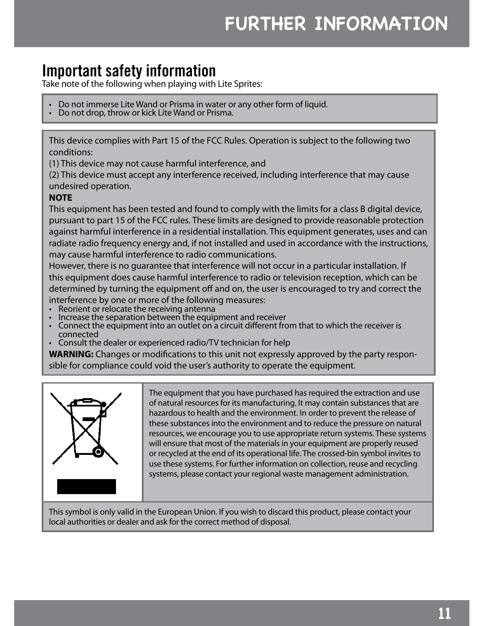## **Important safety information**

Take note of the following when playing with Lite Sprites:

- Do not immerse Lite Wand or Prisma in water or any other form of liquid. Do not drop, throw or kick Lite Wand or Prisma.
- 

This device complies with Part 15 of the FCC Rules. Operation is subject to the following two conditions:

(1) This device may not cause harmful interference, and

(2) This device must accept any interference received, including interference that may cause undesired operation.

#### **NOTE**

This equipment has been tested and found to comply with the limits for a class B digital device, pursuant to part 15 of the FCC rules. These limits are designed to provide reasonable protection against harmful interference in a residential installation. This equipment generates, uses and can radiate radio frequency energy and, if not installed and used in accordance with the instructions, may cause harmful interference to radio communications. **following the CONSTRIMERT STATE ANTION**<br> **fly information**<br>
they **different property and therefore therefore therefore in the state of**  $\sigma$  **fisismal or Prisma.**<br>
or kick Lite Wand or Prisma.<br>
with Part 15 of the FCC Rules

However, there is no guarantee that interference will not occur in a particular installation. If this equipment does cause harmful interference to radio or television reception, which can be determined by turning the equipment off and on, the user is encouraged to try and correct the

- interference by one or more of the following measures:
- 
- Reorient or relocate the receiving antenna  $\check{\phantom{\phi}}$ <br>• Increase the separation between the equipment and receiver<br>• Connect the equipment into an outlet on a circuit different from that to which the receiver is
- connected<br>
Consult the dealer or experienced radio/TV technician for help

**WARNING:** Changes or modifications to this unit not expressly approved by the party responsible for compliance could void the user's authority to operate the equipment.



The equipment that you have purchased has required the extraction and use of natural resources for its manufacturing. It may contain substances that are hazardous to health and the environment. In order to prevent the release of these substances into the environment and to reduce the pressure on natural resources, we encourage you to use appropriate return systems. These systems will ensure that most of the materials in your equipment are properly reused or recycled at the end of its operational life. The crossed-bin symbol invites to use these systems. For further information on collection, reuse and recycling systems, please contact your regional waste management administration.

This symbol is only valid in the European Union. If you wish to discard this product, please contact your local authorities or dealer and ask for the correct method of disposal.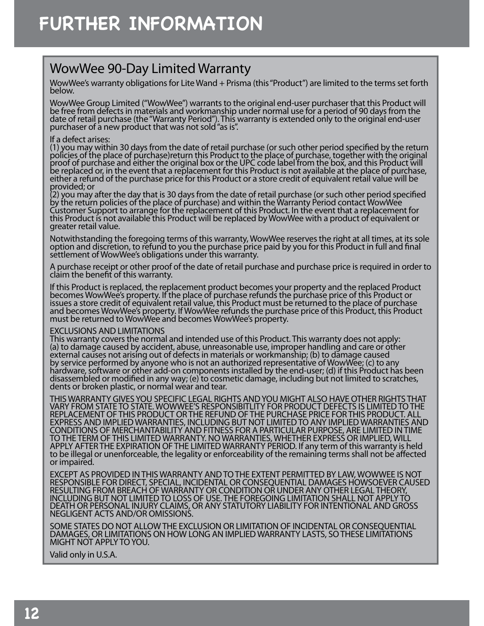## WowWee 90-Day Limited Warranty

WowWee's warranty obligations for Lite Wand + Prisma (this "Product") are limited to the terms set forth below.

WowWee Group Limited ("WowWee") warrants to the original end-user purchaser that this Product will be free from defects in materials and workmanship under normal use for a period of 90 days from the date of retail purchase (the "Warranty Period"). This warranty is extended only to the original end-user purchaser of a new product that was not sold "as is".

#### If a defect arises:

**FURTHER INFORMATION**<br>
WowWee 90-Day Limited Warranty<br>
wowWee 90-Day Limited Warranty<br>
wowWee Swaranty obligations for Lite Wand + Prisma (the below.<br>
WowWee Group Limited ("WowWee") warrants to the orig<br>
be free from defe (1) you may within 30 days from the date of retail purchase (or such other period specified by the return policies of the place of purchase)return this Product to the place of purchase, together with the original proof of purchase and either the original box or the UPC code label from the box, and this Product will be replaced or, in the event that a replacement for this Product is not available at the place of purchase, either a refund of the purchase price for this Product or a store credit of equivalent retail value will be provided; or

(2) you may after the day that is 30 days from the date of retail purchase (or such other period specified by the return policies of the place of purchase) and within the Warranty Period contact WowWee Customer Support to arrange for the replacement of this Product. In the event that a replacement for this Product is not available this Product will be replaced by WowWee with a product of equivalent or greater retail value.

Notwithstanding the foregoing terms of this warranty, WowWee reserves the right at all times, at its sole option and discretion, to refund to you the purchase price paid by you for this Product in full and final settlement of WowWee's obligations under this warranty.

A purchase receipt or other proof of the date of retail purchase and purchase price is required in order to claim the benefit of this warranty.

If this Product is replaced, the replacement product becomes your property and the replaced Product becomes WowWee's property. If the place of purchase refunds the purchase price of this Product or issues a store credit of equivalent retail value, this Product must be returned to the place of purchase and becomes WowWee's property. If WowWee refunds the purchase price of this Product, this Product must be returned to WowWee and becomes WowWee's property.

#### EXCLUSIONS AND LIMITATIONS

This warranty covers the normal and intended use of this Product. This warranty does not apply: (a) to damage caused by accident, abuse, unreasonable use, improper handling and care or other external causes not arising out of defects in materials or workmanship; (b) to damage caused by service performed by anyone who is not an authorized representative of WowWee; (c) to any hardware, software or other add-on components installed by the end-user; (d) if this Product has been disassembled or modified in any way; (e) to cosmetic damage, including but not limited to scratches, dents or broken plastic, or normal wear and tear.

THIS WARRANTY GIVES YOU SPECIFIC LEGAL RIGHTS AND YOU MIGHT ALSO HAVE OTHER RIGHTS THAT VARY FROM STATE TO STATE. WOWWEE'S RESPONSIBITLITY FOR PRODUCT DEFECTS IS LIMITED TO THE REPLACEMENT OF THIS PRODUCT OR THE REFUND OF THE PURCHASE PRICE FOR THIS PRODUCT. ALL EXPRESS AND IMPLIED WARRANTIES, INCLUDING BUT NOT LIMITED TO ANY IMPLIED WARRANTIES AND CONDITIONS OF MERCHANTABILITY AND FITNESS FOR A PARTICULAR PURPOSE, ARE LIMITED IN TIME TO THE TERM OF THIS LIMITED WARRANTY. NO WARRANTIES, WHETHER EXPRESS OR IMPLIED, WILL APPLY AFTER THE EXPIRATION OF THE LIMITED WARRANTY PERIOD. If any term of this warranty is held to be illegal or unenforceable, the legality or enforceability of the remaining terms shall not be affected or impaired.

EXCEPT AS PROVIDED IN THIS WARRANTY AND TO THE EXTENT PERMITTED BY LAW, WOWWEE IS NOT RESPONSIBLE FOR DIRECT, SPECIAL, INCIDENTAL OR CONSEQUENTIAL DAMAGES HOWSOEVER CAUSED RESULTING FROM BREACH OF WARRANTY OR CONDITION OR UNDER ANY OTHER LEGAL THEORY, INCLUDING BUT NOT LIMITED TO LOSS OF USE. THE FOREGOING LIMITATION SHALL NOT APPLY TO DEATH OR PERSONAL INJURY CLAIMS, OR ANY STATUTORY LIABILITY FOR INTENTIONAL AND GROSS NEGLIGENT ACTS AND/OR OMISSIONS.

SOME STATES DO NOT ALLOW THE EXCLUSION OR LIMITATION OF INCIDENTAL OR CONSEQUENTIAL DAMAGES, OR LIMITATIONS ON HOW LONG AN IMPLIED WARRANTY LASTS, SO THESE LIMITATIONS MIGHT NOT APPLY TO YOU.

Valid only in U.S.A.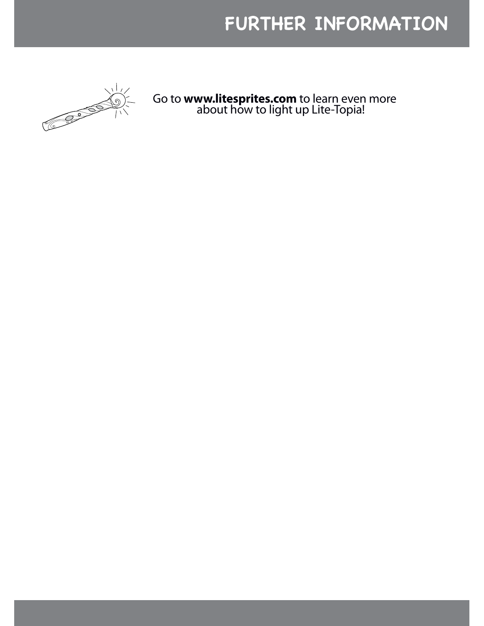

Go to **www.litesprites.com** to learn even more about how to light up Lite-Topia! **FURTHER INFORMATION**<br>
Go to www.litesprites.com to learn even more<br>
about how to light up Lite-Topia!<br>
The Dight of Lite-Topia!